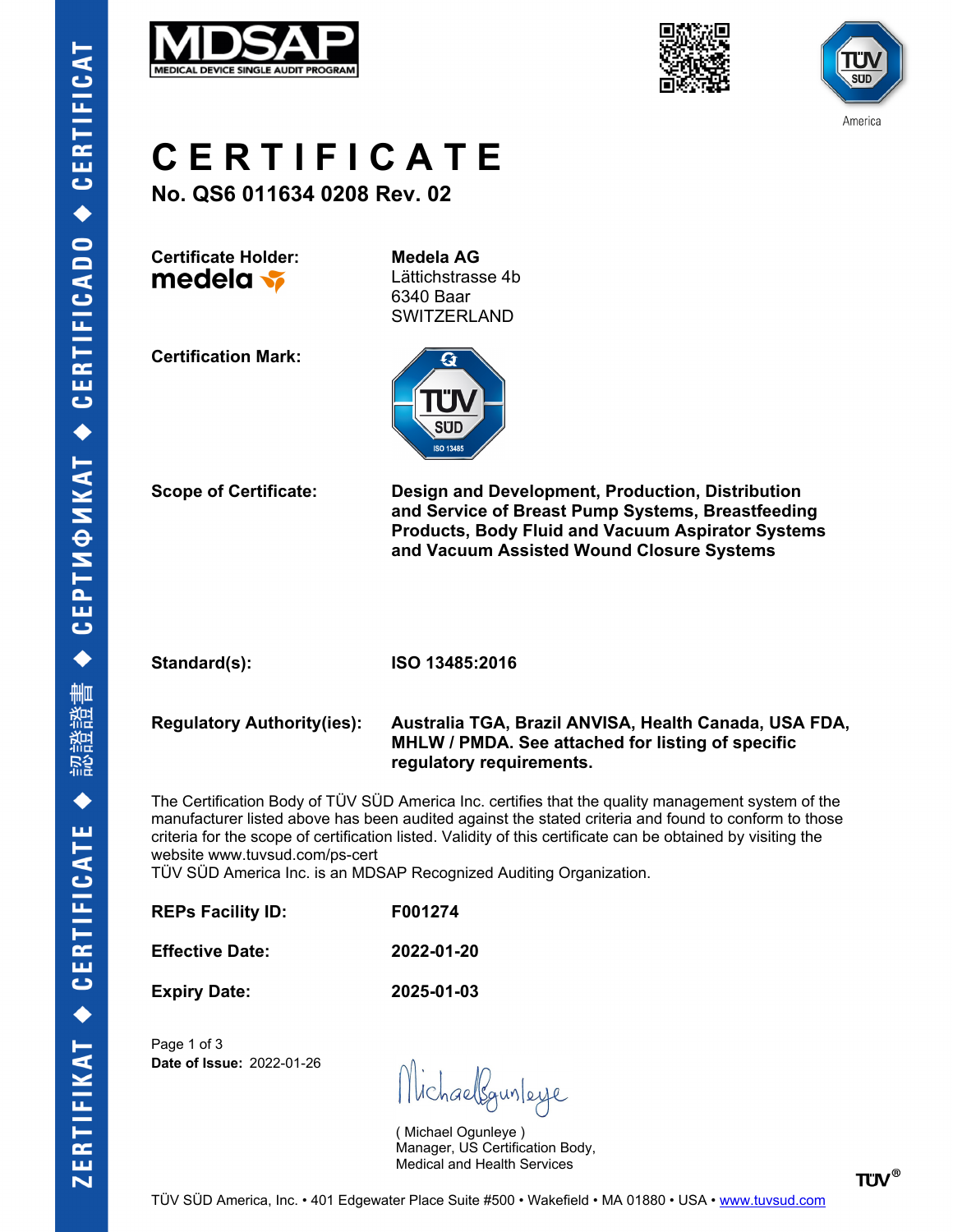





**C E R T I F I C A T E**

**No. QS6 011634 0208 Rev. 02**

**Certificate Holder: Medela AG** medela v

Lättichstrasse 4b 6340 Baar SWITZERLAND

**Certification Mark:**



**Scope of Certificate: Design and Development, Production, Distribution and Service of Breast Pump Systems, Breastfeeding Products, Body Fluid and Vacuum Aspirator Systems and Vacuum Assisted Wound Closure Systems**

**Standard(s): ISO 13485:2016**

**Regulatory Authority(ies): Australia TGA, Brazil ANVISA, Health Canada, USA FDA, MHLW / PMDA. See attached for listing of specific regulatory requirements.**

The Certification Body of TÜV SÜD America Inc. certifies that the quality management system of the manufacturer listed above has been audited against the stated criteria and found to conform to those criteria for the scope of certification listed. Validity of this certificate can be obtained by visiting the website www.tuvsud.com/ps-cert

TÜV SÜD America Inc. is an MDSAP Recognized Auditing Organization.

| <b>REPs Facility ID:</b> | F001274    |
|--------------------------|------------|
| <b>Effective Date:</b>   | 2022-01-20 |
| <b>Expiry Date:</b>      | 2025-01-03 |

Page 1 of 3 **Date of Issue:** 2022-01-26

Michaelgunleye

( Michael Ogunleye ) Manager, US Certification Body, Medical and Health Services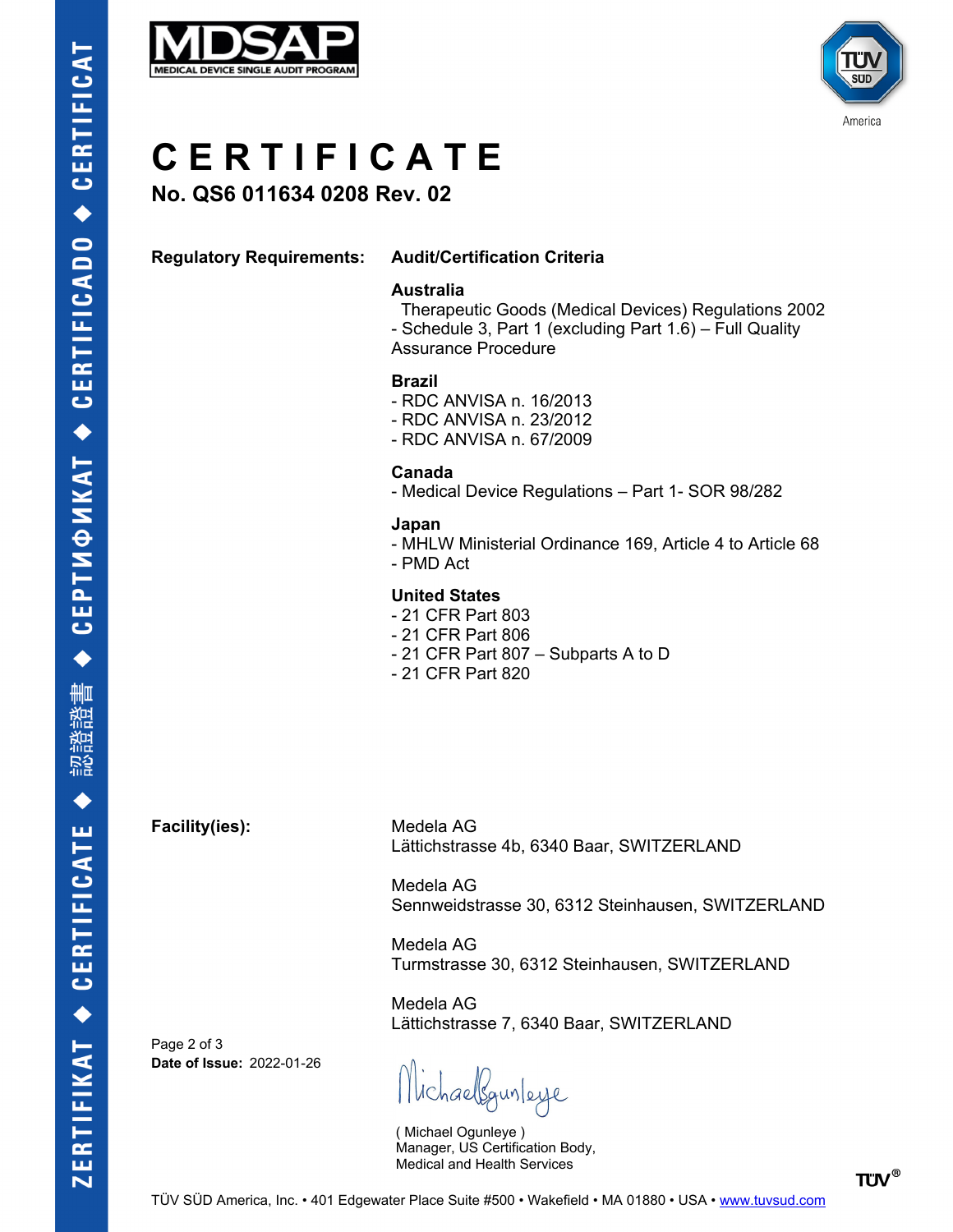



# **C E R T I F I C A T E**

**No. QS6 011634 0208 Rev. 02**

## **Regulatory Requirements: Audit/Certification Criteria**

#### **Australia**

 Therapeutic Goods (Medical Devices) Regulations 2002 - Schedule 3, Part 1 (excluding Part 1.6) – Full Quality Assurance Procedure

## **Brazil**

- RDC ANVISA n. 16/2013
- RDC ANVISA n. 23/2012
- RDC ANVISA n. 67/2009

#### **Canada**

- Medical Device Regulations – Part 1- SOR 98/282

#### **Japan**

- MHLW Ministerial Ordinance 169, Article 4 to Article 68
- PMD Act

## **United States**

- 21 CFR Part 803
- 21 CFR Part 806
- 21 CFR Part 807 Subparts A to D
- 21 CFR Part 820

**Facility(ies):** Medela AG

Lättichstrasse 4b, 6340 Baar, SWITZERLAND

Medela AG Sennweidstrasse 30, 6312 Steinhausen, SWITZERLAND

Medela AG Turmstrasse 30, 6312 Steinhausen, SWITZERLAND

Medela AG Lättichstrasse 7, 6340 Baar, SWITZERLAND

Page 2 of 3 **Date of Issue:** 2022-01-26

lichaelsgunleye

( Michael Ogunleye ) Manager, US Certification Body, Medical and Health Services

**TÜV®**